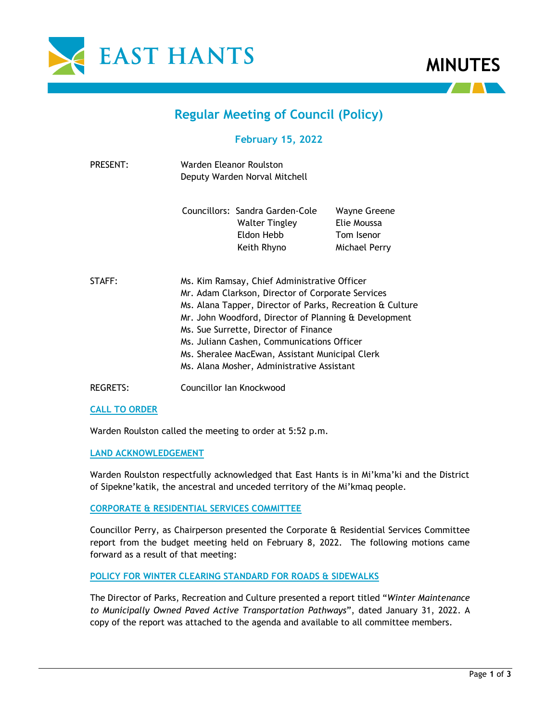



# **Regular Meeting of Council (Policy)**

# **February 15, 2022**

| PRESENT: | Warden Eleanor Roulston<br>Deputy Warden Norval Mitchell |                                                                                                                                                                                                                                                                                                                                                                                                                 |                                                            |
|----------|----------------------------------------------------------|-----------------------------------------------------------------------------------------------------------------------------------------------------------------------------------------------------------------------------------------------------------------------------------------------------------------------------------------------------------------------------------------------------------------|------------------------------------------------------------|
|          |                                                          | Councillors: Sandra Garden-Cole<br>Walter Tingley<br>Eldon Hebb<br>Keith Rhyno                                                                                                                                                                                                                                                                                                                                  | Wayne Greene<br>Elie Moussa<br>Tom Isenor<br>Michael Perry |
| STAFF:   |                                                          | Ms. Kim Ramsay, Chief Administrative Officer<br>Mr. Adam Clarkson, Director of Corporate Services<br>Ms. Alana Tapper, Director of Parks, Recreation & Culture<br>Mr. John Woodford, Director of Planning & Development<br>Ms. Sue Surrette, Director of Finance<br>Ms. Juliann Cashen, Communications Officer<br>Ms. Sheralee MacEwan, Assistant Municipal Clerk<br>Ms. Alana Mosher, Administrative Assistant |                                                            |

REGRETS: Councillor Ian Knockwood

#### **CALL TO ORDER**

Warden Roulston called the meeting to order at 5:52 p.m.

## **LAND ACKNOWLEDGEMENT**

Warden Roulston respectfully acknowledged that East Hants is in Mi'kma'ki and the District of Sipekne'katik, the ancestral and unceded territory of the Mi'kmaq people.

#### **CORPORATE & RESIDENTIAL SERVICES COMMITTEE**

Councillor Perry, as Chairperson presented the Corporate & Residential Services Committee report from the budget meeting held on February 8, 2022. The following motions came forward as a result of that meeting:

## **POLICY FOR WINTER CLEARING STANDARD FOR ROADS & SIDEWALKS**

The Director of Parks, Recreation and Culture presented a report titled "*Winter Maintenance to Municipally Owned Paved Active Transportation Pathways*", dated January 31, 2022. A copy of the report was attached to the agenda and available to all committee members.